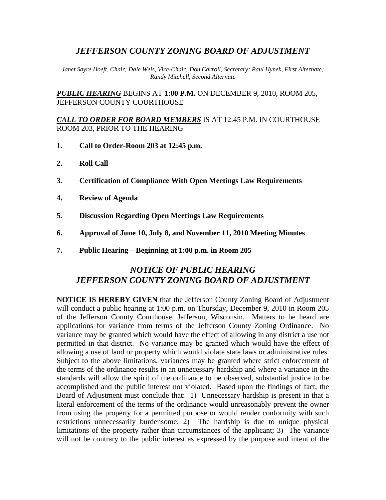## *JEFFERSON COUNTY ZONING BOARD OF ADJUSTMENT*

*Janet Sayre Hoeft, Chair; Dale Weis, Vice-Chair; Don Carroll, Secretary; Paul Hynek, First Alternate; Randy Mitchell, Second Alternate* 

*PUBLIC HEARING* BEGINS AT **1:00 P.M.** ON DECEMBER 9, 2010, ROOM 205, JEFFERSON COUNTY COURTHOUSE

#### *CALL TO ORDER FOR BOARD MEMBERS* IS AT 12:45 P.M. IN COURTHOUSE ROOM 203, PRIOR TO THE HEARING

- **1. Call to Order-Room 203 at 12:45 p.m.**
- **2. Roll Call**
- **3. Certification of Compliance With Open Meetings Law Requirements**
- **4. Review of Agenda**
- **5. Discussion Regarding Open Meetings Law Requirements**
- **6. Approval of June 10, July 8, and November 11, 2010 Meeting Minutes**
- **7. Public Hearing Beginning at 1:00 p.m. in Room 205**

# *NOTICE OF PUBLIC HEARING JEFFERSON COUNTY ZONING BOARD OF ADJUSTMENT*

**NOTICE IS HEREBY GIVEN** that the Jefferson County Zoning Board of Adjustment will conduct a public hearing at 1:00 p.m. on Thursday, December 9, 2010 in Room 205 of the Jefferson County Courthouse, Jefferson, Wisconsin. Matters to be heard are applications for variance from terms of the Jefferson County Zoning Ordinance. No variance may be granted which would have the effect of allowing in any district a use not permitted in that district. No variance may be granted which would have the effect of allowing a use of land or property which would violate state laws or administrative rules. Subject to the above limitations, variances may be granted where strict enforcement of the terms of the ordinance results in an unnecessary hardship and where a variance in the standards will allow the spirit of the ordinance to be observed, substantial justice to be accomplished and the public interest not violated. Based upon the findings of fact, the Board of Adjustment must conclude that: 1) Unnecessary hardship is present in that a literal enforcement of the terms of the ordinance would unreasonably prevent the owner from using the property for a permitted purpose or would render conformity with such restrictions unnecessarily burdensome; 2) The hardship is due to unique physical limitations of the property rather than circumstances of the applicant; 3) The variance will not be contrary to the public interest as expressed by the purpose and intent of the